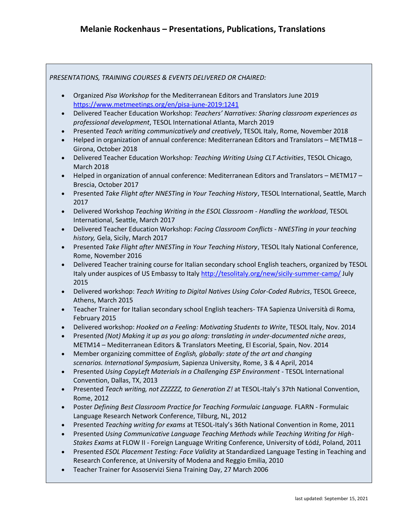*PRESENTATIONS, TRAINING COURSES & EVENTS DELIVERED OR CHAIRED:*

- Organized *Pisa Workshop* for the Mediterranean Editors and Translators June 2019 <https://www.metmeetings.org/en/pisa-june-2019:1241>
- Delivered Teacher Education Workshop: *Teachers' Narratives: Sharing classroom experiences as professional development*, TESOL International Atlanta, March 2019
- Presented *Teach writing communicatively and creatively*, TESOL Italy, Rome, November 2018
- Helped in organization of annual conference: Mediterranean Editors and Translators METM18 Girona, October 2018
- Delivered Teacher Education Workshop*: Teaching Writing Using CLT Activities*, TESOL Chicago, March 2018
- Helped in organization of annual conference: Mediterranean Editors and Translators METM17 Brescia, October 2017
- Presented *Take Flight after NNESTing in Your Teaching History*, TESOL International, Seattle, March 2017
- Delivered Workshop *Teaching Writing in the ESOL Classroom - Handling the workload*, TESOL International, Seattle, March 2017
- Delivered Teacher Education Workshop: *Facing Classroom Conflicts - NNESTing in your teaching history,* Gela, Sicily, March 2017
- Presented *Take Flight after NNESTing in Your Teaching History*, TESOL Italy National Conference, Rome, November 2016
- Delivered Teacher training course for Italian secondary school English teachers, organized by TESOL Italy under auspices of US Embassy to Italy <http://tesolitaly.org/new/sicily-summer-camp/> July 2015
- Delivered workshop: *Teach Writing to Digital Natives Using Color-Coded Rubrics*, TESOL Greece, Athens, March 2015
- Teacher Trainer for Italian secondary school English teachers- TFA Sapienza Università di Roma, February 2015
- Delivered workshop: *Hooked on a Feeling: Motivating Students to Write*, TESOL Italy, Nov. 2014
- Presented *(Not) Making it up as you go along: translating in under-documented niche areas*, METM14 – Mediterranean Editors & Translators Meeting, El Escorial, Spain, Nov. 2014
- Member organizing committee of *English, globally: state of the art and changing scenarios. International Symposium*, Sapienza University, Rome, 3 & 4 April, 2014
- Presented *Using CopyLeft Materials in a Challenging ESP Environment -* TESOL International Convention, Dallas, TX, 2013
- Presented *Teach writing, not ZZZZZZ, to Generation Z!* at TESOL-Italy's 37th National Convention, Rome, 2012
- Poster *Defining Best Classroom Practice for Teaching Formulaic Language.* FLARN Formulaic Language Research Network Conference, Tilburg, NL, 2012
- Presented *Teaching writing for exams* at TESOL-Italy's 36th National Convention in Rome, 2011
- Presented *Using Communicative Language Teaching Methods while Teaching Writing for High-Stakes Exams* at FLOW II - Foreign Language Writing Conference, University of Łódź, Poland, 2011
- Presented *ESOL Placement Testing: Face Validity* at Standardized Language Testing in Teaching and Research Conference, at University of Modena and Reggio Emilia, 2010
- Teacher Trainer for Assoservizi Siena Training Day, 27 March 2006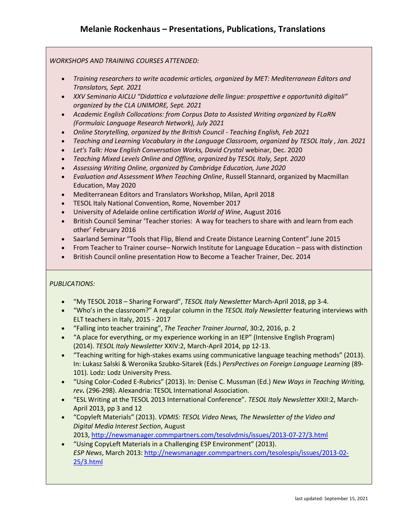## *WORKSHOPS AND TRAINING COURSES ATTENDED:*

- *Training researchers to write academic articles, organized by MET: Mediterranean Editors and Translators, Sept. 2021*
- *XXV Seminario AICLU "Didattica e valutazione delle lingue: prospettive e opportunità digitali" organized by the CLA UNIMORE, Sept. 2021*
- *Academic English Collocations: from Corpus Data to Assisted Writing organized by FLaRN (Formulaic Language Research Network), July 2021*
- *Online Storytelling, organized by the British Council - Teaching English, Feb 2021*
- *Teaching and Learning Vocabulary in the Language Classroom, organized by TESOL Italy , Jan. 2021*
- Let's Talk: How English Conversation Works, David Crystal webinar, Dec. 2020
- *Teaching Mixed Levels Online and Offline, organized by TESOL Italy, Sept. 2020*
- *Assessing Writing Online, organized by Cambridge Education, June 2020*
- *Evaluation and Assessment When Teaching Online*, Russell Stannard, organized by Macmillan Education, May 2020
- Mediterranean Editors and Translators Workshop, Milan, April 2018
- TESOL Italy National Convention, Rome, November 2017
- University of Adelaide online certification *World of Wine*, August 2016
- British Council Seminar 'Teacher stories: A way for teachers to share with and learn from each other' February 2016
- Saarland Seminar "Tools that Flip, Blend and Create Distance Learning Content" June 2015
- From Teacher to Trainer course– Norwich Institute for Language Education pass with distinction
- British Council online presentation How to Become a Teacher Trainer, Dec. 2014

## *PUBLICATIONS:*

- "My TESOL 2018 Sharing Forward", *TESOL Italy Newsletter* March-April 2018, pp 3-4.
- "Who's in the classroom?" A regular column in the *TESOL Italy Newsletter* featuring interviews with ELT teachers in Italy, 2015 - 2017
- "Falling into teacher training", *The Teacher Trainer Journal*, 30:2, 2016, p. 2
- "A place for everything, or my experience working in an IEP" (Intensive English Program) (2014). *TESOL Italy Newsletter* XXIV:2, March-April 2014, pp 12-13.
- "Teaching writing for high-stakes exams using communicative language teaching methods" (2013). In: Lukasz Salski & Weronika Szubko-Sitarek (Eds.) *PersPectives on Foreign Language Learning* (89- 101). Lodz: Lodz University Press.
- "Using Color-Coded E-Rubrics" (2013). In: Denise C. Mussman (Ed.) *New Ways in Teaching Writing, rev.* (296-298). Alexandria: TESOL International Association.
- "ESL Writing at the TESOL 2013 International Conference". *TESOL Italy Newsletter* XXII:2, March-April 2013, pp 3 and 12
- "Copyleft Materials" (2013). *VDMIS: TESOL Video News, The Newsletter of the Video and Digital Media Interest Section*, August 2013, <http://newsmanager.commpartners.com/tesolvdmis/issues/2013-07-27/3.html>
- "Using CopyLeft Materials in a Challenging ESP Environment" (2013). *ESP News*, March 2013: [http://newsmanager.commpartners.com/tesolespis/issues/2013-02-](http://newsmanager.commpartners.com/tesolespis/issues/2013-02-25/3.html) [25/3.html](http://newsmanager.commpartners.com/tesolespis/issues/2013-02-25/3.html)